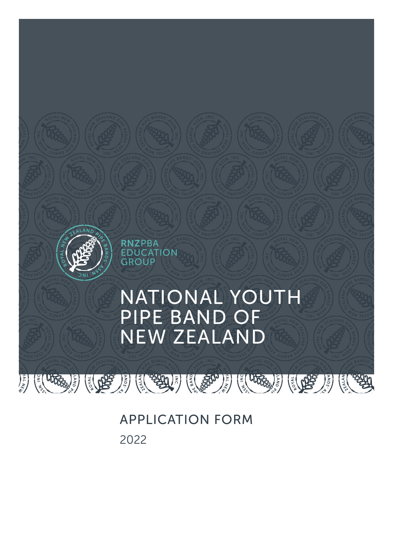

APPLICATION FORM 2022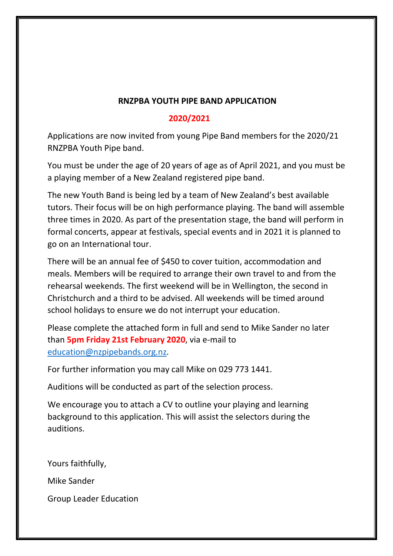# **RNZPBA YOUTH PIPE BAND APPLICATION**

## **2020/2021**

Applications are now invited from young Pipe Band members for the 2020/21 RNZPBA Youth Pipe band.

You must be under the age of 20 years of age as of April 2021, and you must be a playing member of a New Zealand registered pipe band.

The new Youth Band is being led by a team of New Zealand's best available tutors. Their focus will be on high performance playing. The band will assemble three times in 2020. As part of the presentation stage, the band will perform in formal concerts, appear at festivals, special events and in 2021 it is planned to go on an International tour.

There will be an annual fee of \$450 to cover tuition, accommodation and meals. Members will be required to arrange their own travel to and from the rehearsal weekends. The first weekend will be in Wellington, the second in Christchurch and a third to be advised. All weekends will be timed around school holidays to ensure we do not interrupt your education.

Please complete the attached form in full and send to Mike Sander no later than **5pm Friday 21st February 2020**, via e-mail to [education@nzpipebands.org.nz.](mailto:education@nzpipebands.org.nz)

For further information you may call Mike on 029 773 1441.

Auditions will be conducted as part of the selection process.

We encourage you to attach a CV to outline your playing and learning background to this application. This will assist the selectors during the auditions.

Yours faithfully, Mike Sander Group Leader Education